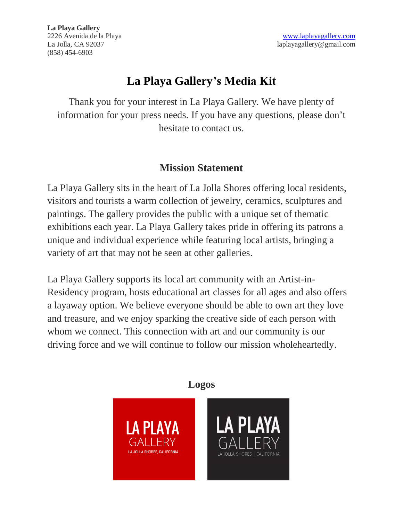**La Playa Gallery** (858) 454-6903

# **La Playa Gallery's Media Kit**

Thank you for your interest in La Playa Gallery. We have plenty of information for your press needs. If you have any questions, please don't hesitate to contact us.

#### **Mission Statement**

La Playa Gallery sits in the heart of La Jolla Shores offering local residents, visitors and tourists a warm collection of jewelry, ceramics, sculptures and paintings. The gallery provides the public with a unique set of thematic exhibitions each year. La Playa Gallery takes pride in offering its patrons a unique and individual experience while featuring local artists, bringing a variety of art that may not be seen at other galleries.

La Playa Gallery supports its local art community with an Artist-in-Residency program, hosts educational art classes for all ages and also offers a layaway option. We believe everyone should be able to own art they love and treasure, and we enjoy sparking the creative side of each person with whom we connect. This connection with art and our community is our driving force and we will continue to follow our mission wholeheartedly.

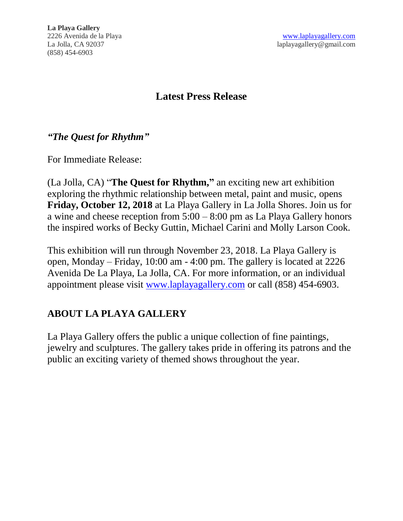#### **Latest Press Release**

#### *"The Quest for Rhythm"*

For Immediate Release:

(La Jolla, CA) "**The Quest for Rhythm, "** an exciting new art exhibition exploring the rhythmic relationship between metal, paint and music, opens **Friday, October 12, 2018** at La Playa Gallery in La Jolla Shores. Join us for a wine and cheese reception from 5:00 – 8:00 pm as La Playa Gallery honors the inspired works of Becky Guttin, Michael Carini and Molly Larson Cook.

This exhibition will run through November 23, 2018. La Playa Gallery is open, Monday – Friday, 10:00 am - 4:00 pm. The gallery is located at 2226 Avenida De La Playa, La Jolla, CA. For more information, or an individual appointment please visit [www.laplayagallery.com](http://www.laplayagallery.com/) or call (858) 454-6903.

#### **ABOUT LA PLAYA GALLERY**

La Playa Gallery offers the public a unique collection of fine paintings, jewelry and sculptures. The gallery takes pride in offering its patrons and the public an exciting variety of themed shows throughout the year.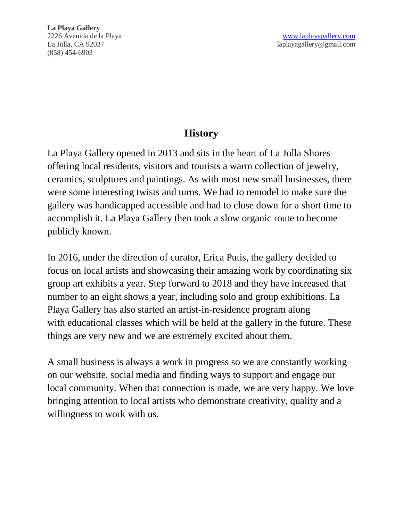### **History**

La Playa Gallery opened in 2013 and sits in the heart of La Jolla Shores offering local residents, visitors and tourists a warm collection of jewelry, ceramics, sculptures and paintings. As with most new small businesses, there were some interesting twists and turns. We had to remodel to make sure the gallery was handicapped accessible and had to close down for a short time to accomplish it. La Playa Gallery then took a slow organic route to become publicly known.

In 2016, under the direction of curator, Erica Putis, the gallery decided to focus on local artists and showcasing their amazing work by coordinating six group art exhibits a year. Step forward to 2018 and they have increased that number to an eight shows a year, including solo and group exhibitions. La Playa Gallery has also started an artist-in-residence program along with educational classes which will be held at the gallery in the future. These things are very new and we are extremely excited about them.

A small business is always a work in progress so we are constantly working on our website, social media and finding ways to support and engage our local community. When that connection is made, we are very happy. We love bringing attention to local artists who demonstrate creativity, quality and a willingness to work with us.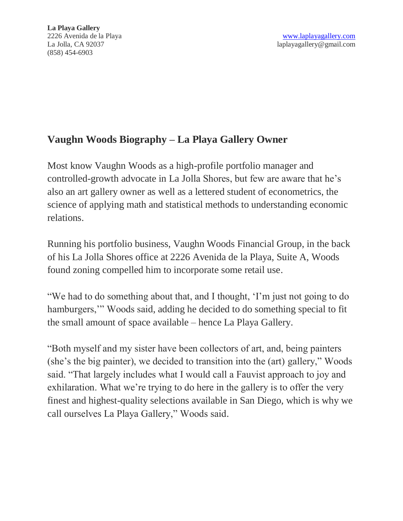### **Vaughn Woods Biography – La Playa Gallery Owner**

Most know Vaughn Woods as a high-profile portfolio manager and controlled-growth advocate in La Jolla Shores, but few are aware that he's also an art gallery owner as well as a lettered student of econometrics, the science of applying math and statistical methods to understanding economic relations.

Running his portfolio business, Vaughn Woods Financial Group, in the back of his La Jolla Shores office at 2226 Avenida de la Playa, Suite A, Woods found zoning compelled him to incorporate some retail use.

"We had to do something about that, and I thought, 'I'm just not going to do hamburgers," Woods said, adding he decided to do something special to fit the small amount of space available – hence La Playa Gallery.

"Both myself and my sister have been collectors of art, and, being painters (she's the big painter), we decided to transition into the (art) gallery," Woods said. "That largely includes what I would call a Fauvist approach to joy and exhilaration. What we're trying to do here in the gallery is to offer the very finest and highest-quality selections available in San Diego, which is why we call ourselves La Playa Gallery," Woods said.